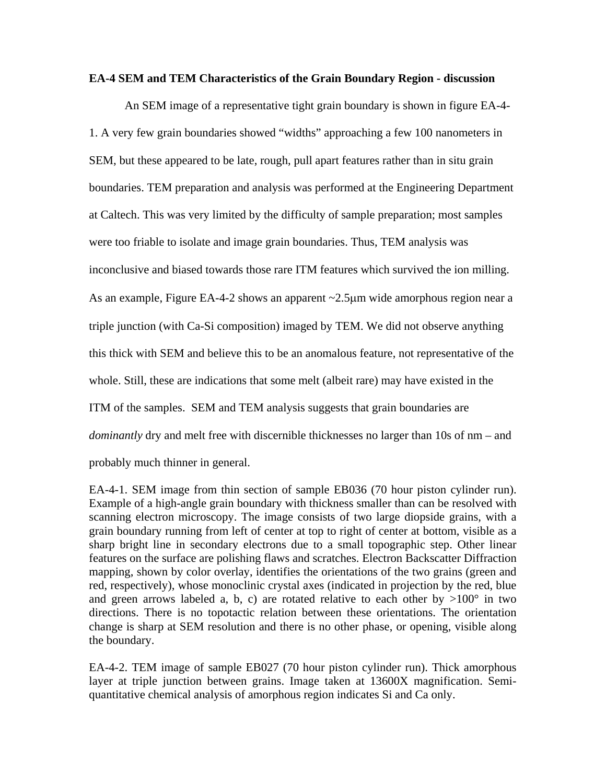## **EA-4 SEM and TEM Characteristics of the Grain Boundary Region - discussion**

An SEM image of a representative tight grain boundary is shown in figure EA-4- 1. A very few grain boundaries showed "widths" approaching a few 100 nanometers in SEM, but these appeared to be late, rough, pull apart features rather than in situ grain boundaries. TEM preparation and analysis was performed at the Engineering Department at Caltech. This was very limited by the difficulty of sample preparation; most samples were too friable to isolate and image grain boundaries. Thus, TEM analysis was inconclusive and biased towards those rare ITM features which survived the ion milling. As an example, Figure EA-4-2 shows an apparent ~2.5µm wide amorphous region near a triple junction (with Ca-Si composition) imaged by TEM. We did not observe anything this thick with SEM and believe this to be an anomalous feature, not representative of the whole. Still, these are indications that some melt (albeit rare) may have existed in the ITM of the samples. SEM and TEM analysis suggests that grain boundaries are *dominantly* dry and melt free with discernible thicknesses no larger than 10s of nm – and probably much thinner in general.

EA-4-1. SEM image from thin section of sample EB036 (70 hour piston cylinder run). Example of a high-angle grain boundary with thickness smaller than can be resolved with scanning electron microscopy. The image consists of two large diopside grains, with a grain boundary running from left of center at top to right of center at bottom, visible as a sharp bright line in secondary electrons due to a small topographic step. Other linear features on the surface are polishing flaws and scratches. Electron Backscatter Diffraction mapping, shown by color overlay, identifies the orientations of the two grains (green and red, respectively), whose monoclinic crystal axes (indicated in projection by the red, blue and green arrows labeled a, b, c) are rotated relative to each other by  $>100^{\circ}$  in two directions. There is no topotactic relation between these orientations. The orientation change is sharp at SEM resolution and there is no other phase, or opening, visible along the boundary.

EA-4-2. TEM image of sample EB027 (70 hour piston cylinder run). Thick amorphous layer at triple junction between grains. Image taken at 13600X magnification. Semiquantitative chemical analysis of amorphous region indicates Si and Ca only.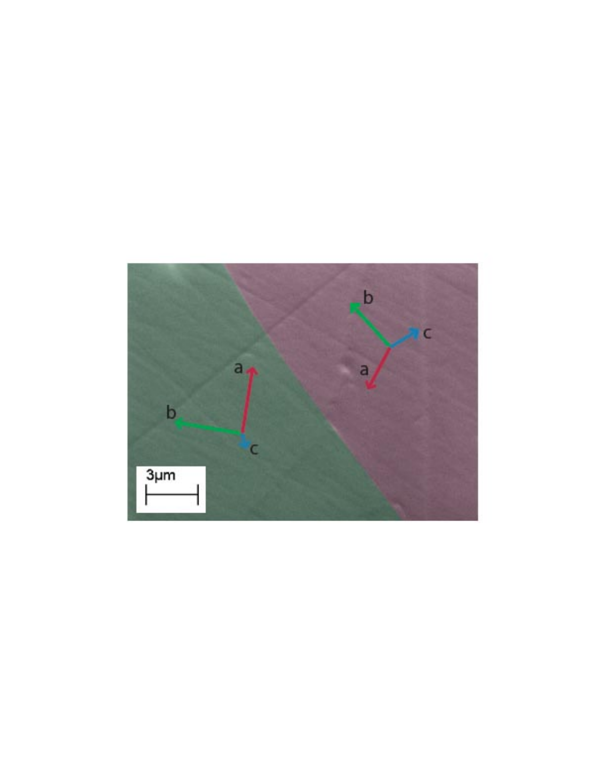